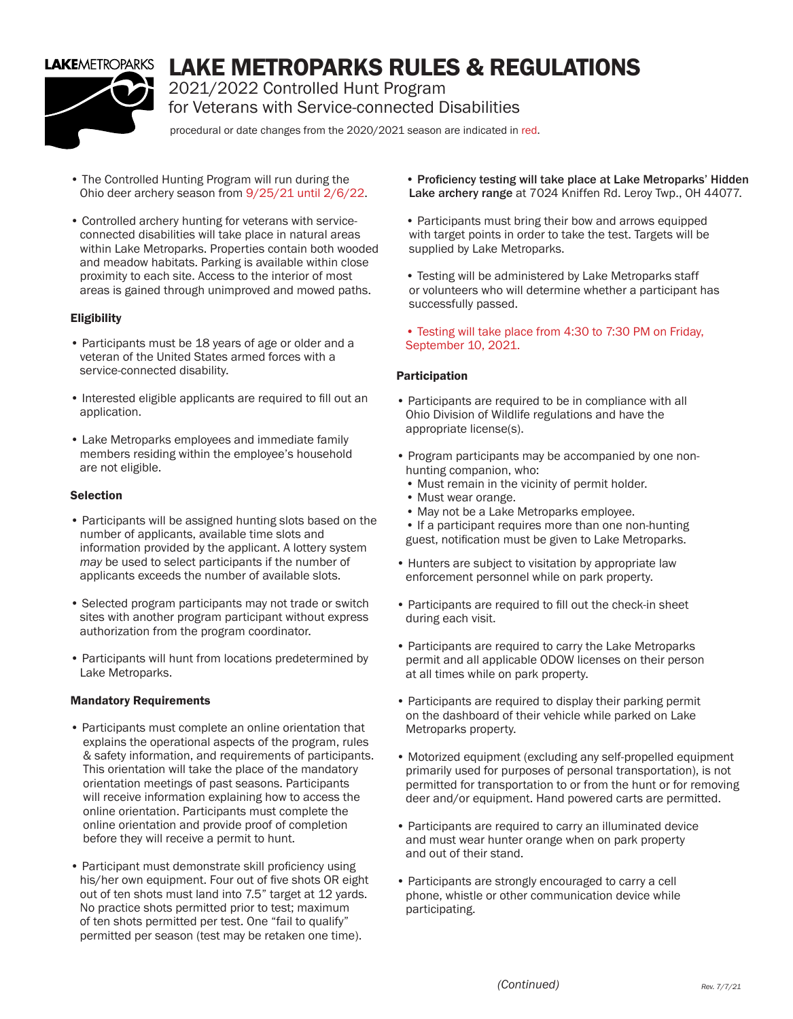

# LAKE METROPARKS RULES & REGULATIONS

2021/2022 Controlled Hunt Program for Veterans with Service-connected Disabilities

procedural or date changes from the 2020/2021 season are indicated in red.

- The Controlled Hunting Program will run during the Ohio deer archery season from 9/25/21 until 2/6/22.
- Controlled archery hunting for veterans with service connected disabilities will take place in natural areas within Lake Metroparks. Properties contain both wooded and meadow habitats. Parking is available within close proximity to each site. Access to the interior of most areas is gained through unimproved and mowed paths.

### **Eligibility**

- Participants must be 18 years of age or older and a veteran of the United States armed forces with a service-connected disability.
- Interested eligible applicants are required to fill out an application.
- Lake Metroparks employees and immediate family members residing within the employee's household are not eligible.

#### Selection

- Participants will be assigned hunting slots based on the number of applicants, available time slots and information provided by the applicant. A lottery system *may* be used to select participants if the number of applicants exceeds the number of available slots.
- Selected program participants may not trade or switch sites with another program participant without express authorization from the program coordinator.
- Participants will hunt from locations predetermined by Lake Metroparks.

#### Mandatory Requirements

- Participants must complete an online orientation that explains the operational aspects of the program, rules & safety information, and requirements of participants. This orientation will take the place of the mandatory orientation meetings of past seasons. Participants will receive information explaining how to access the online orientation. Participants must complete the online orientation and provide proof of completion before they will receive a permit to hunt.
- Participant must demonstrate skill proficiency using his/her own equipment. Four out of five shots OR eight out of ten shots must land into 7.5" target at 12 yards. No practice shots permitted prior to test; maximum of ten shots permitted per test. One "fail to qualify" permitted per season (test may be retaken one time).

 • Proficiency testing will take place at Lake Metroparks' Hidden Lake archery range at 7024 Kniffen Rd. Leroy Twp., OH 44077.

- Participants must bring their bow and arrows equipped with target points in order to take the test. Targets will be supplied by Lake Metroparks.
- Testing will be administered by Lake Metroparks staff or volunteers who will determine whether a participant has successfully passed.
- Testing will take place from 4:30 to 7:30 PM on Friday, September 10, 2021.

#### Participation

- Participants are required to be in compliance with all Ohio Division of Wildlife regulations and have the appropriate license(s).
- Program participants may be accompanied by one non hunting companion, who:
	- Must remain in the vicinity of permit holder.
	- Must wear orange.
	- May not be a Lake Metroparks employee.
- If a participant requires more than one non-hunting guest, notification must be given to Lake Metroparks.
- Hunters are subject to visitation by appropriate law enforcement personnel while on park property.
- Participants are required to fill out the check-in sheet during each visit.
- Participants are required to carry the Lake Metroparks permit and all applicable ODOW licenses on their person at all times while on park property.
- Participants are required to display their parking permit on the dashboard of their vehicle while parked on Lake Metroparks property.
- Motorized equipment (excluding any self-propelled equipment primarily used for purposes of personal transportation), is not permitted for transportation to or from the hunt or for removing deer and/or equipment. Hand powered carts are permitted.
- Participants are required to carry an illuminated device and must wear hunter orange when on park property and out of their stand.
- Participants are strongly encouraged to carry a cell phone, whistle or other communication device while participating.